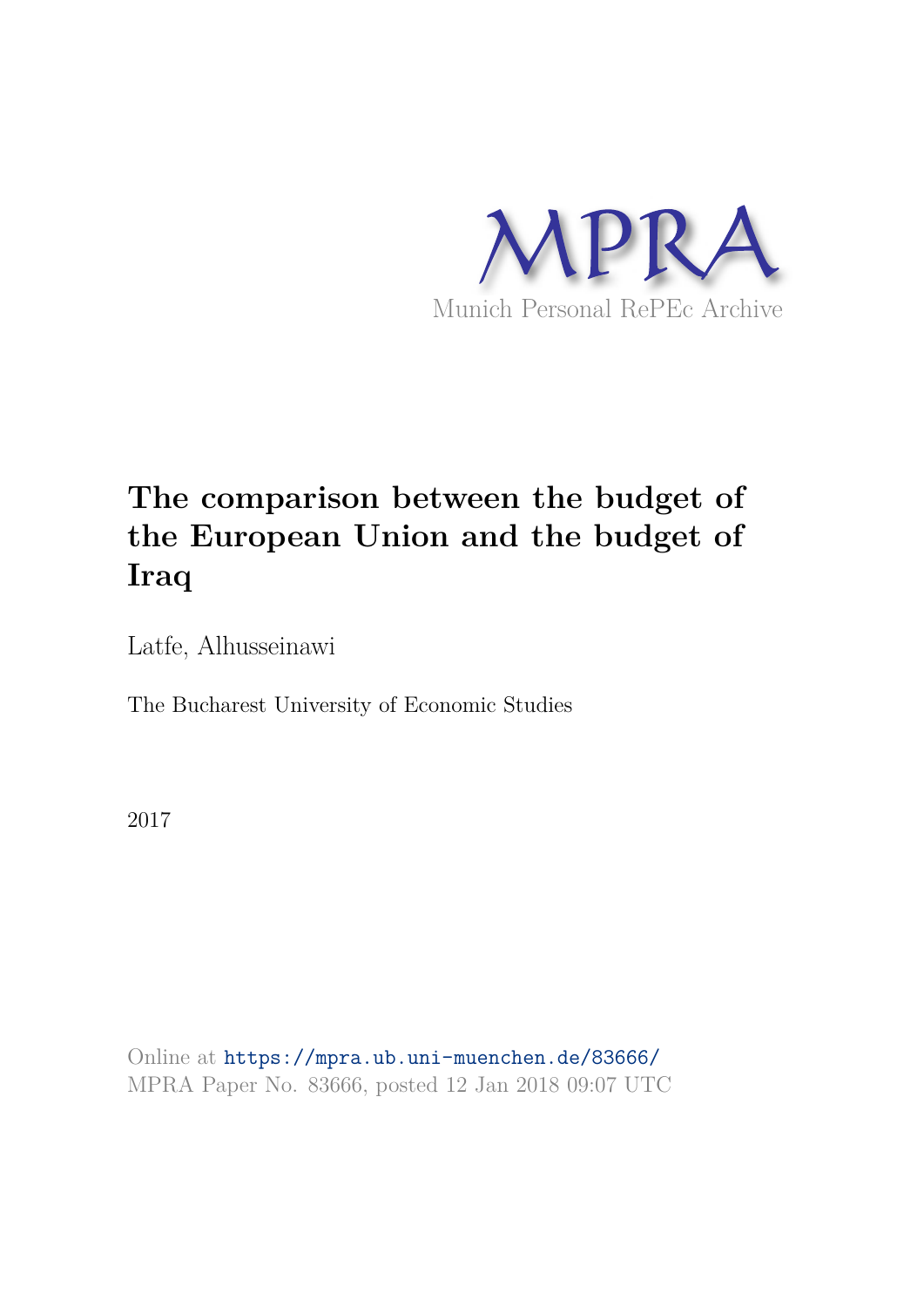

# **The comparison between the budget of the European Union and the budget of Iraq**

Latfe, Alhusseinawi

The Bucharest University of Economic Studies

2017

Online at https://mpra.ub.uni-muenchen.de/83666/ MPRA Paper No. 83666, posted 12 Jan 2018 09:07 UTC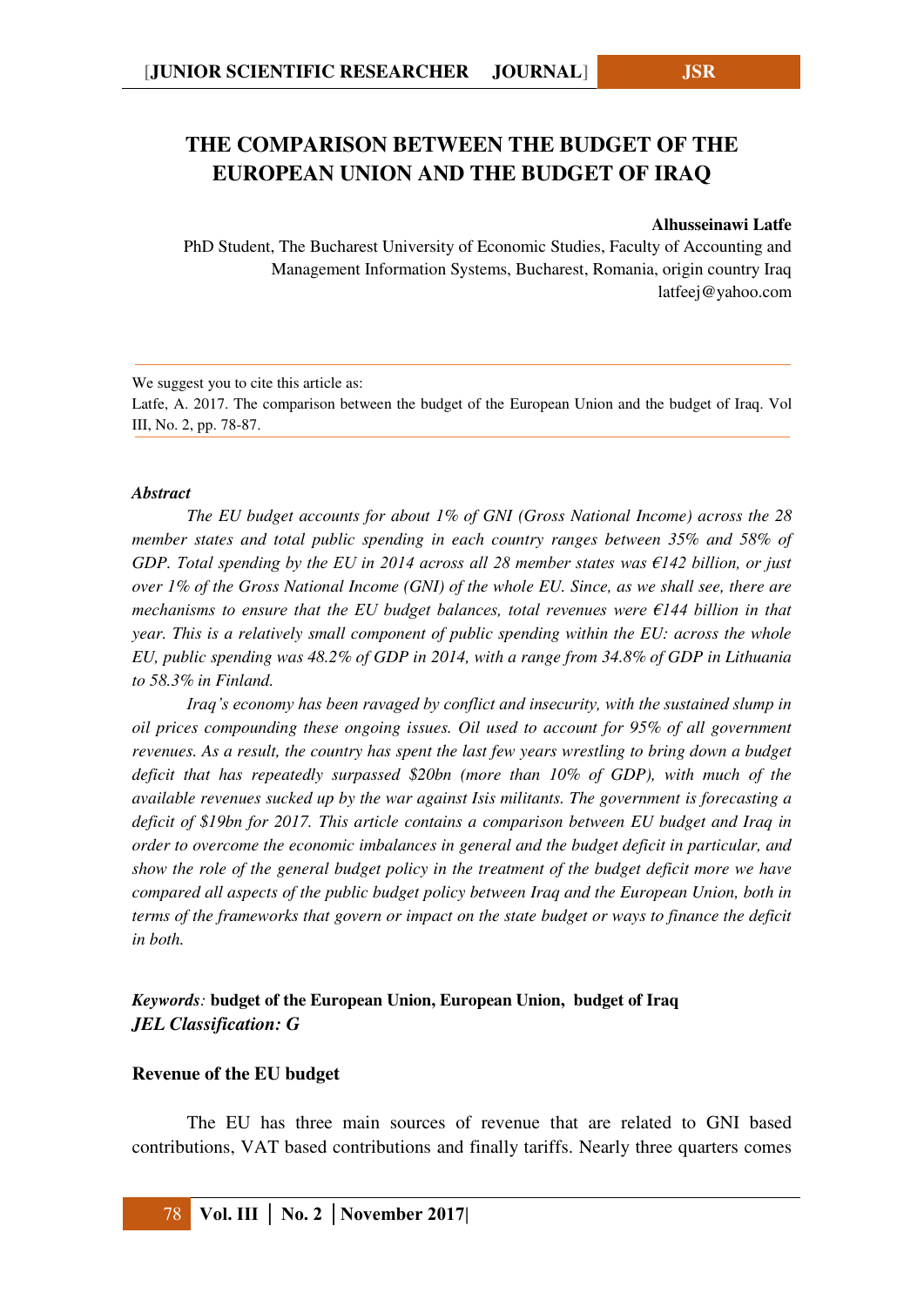# **THE COMPARISON BETWEEN THE BUDGET OF THE EUROPEAN UNION AND THE BUDGET OF IRAQ**

#### **Alhusseinawi Latfe**

PhD Student, The Bucharest University of Economic Studies, Faculty of Accounting and Management Information Systems, Bucharest, Romania, origin country Iraq latfeej@yahoo.com

We suggest you to cite this article as:

Latfe, A. 2017. The comparison between the budget of the European Union and the budget of Iraq. Vol III, No. 2, pp. 78-87.

#### *Abstract*

*The EU budget accounts for about 1% of GNI (Gross National Income) across the 28 member states and total public spending in each country ranges between 35% and 58% of GDP. Total spending by the EU in 2014 across all 28 member states was €142 billion, or just over 1% of the Gross National Income (GNI) of the whole EU. Since, as we shall see, there are mechanisms to ensure that the EU budget balances, total revenues were €144 billion in that year. This is a relatively small component of public spending within the EU: across the whole EU, public spending was 48.2% of GDP in 2014, with a range from 34.8% of GDP in Lithuania to 58.3% in Finland.* 

*Iraq's economy has been ravaged by conflict and insecurity, with the sustained slump in oil prices compounding these ongoing issues. Oil used to account for 95% of all government revenues. As a result, the country has spent the last few years wrestling to bring down a budget deficit that has repeatedly surpassed \$20bn (more than 10% of GDP), with much of the available revenues sucked up by the war against Isis militants. The government is forecasting a deficit of \$19bn for 2017. This article contains a comparison between EU budget and Iraq in order to overcome the economic imbalances in general and the budget deficit in particular, and show the role of the general budget policy in the treatment of the budget deficit more we have compared all aspects of the public budget policy between Iraq and the European Union, both in terms of the frameworks that govern or impact on the state budget or ways to finance the deficit in both.*

# *Keywords:* **budget of the European Union, European Union, budget of Iraq**  *JEL Classification: G*

### **Revenue of the EU budget**

The EU has three main sources of revenue that are related to GNI based contributions, VAT based contributions and finally tariffs. Nearly three quarters comes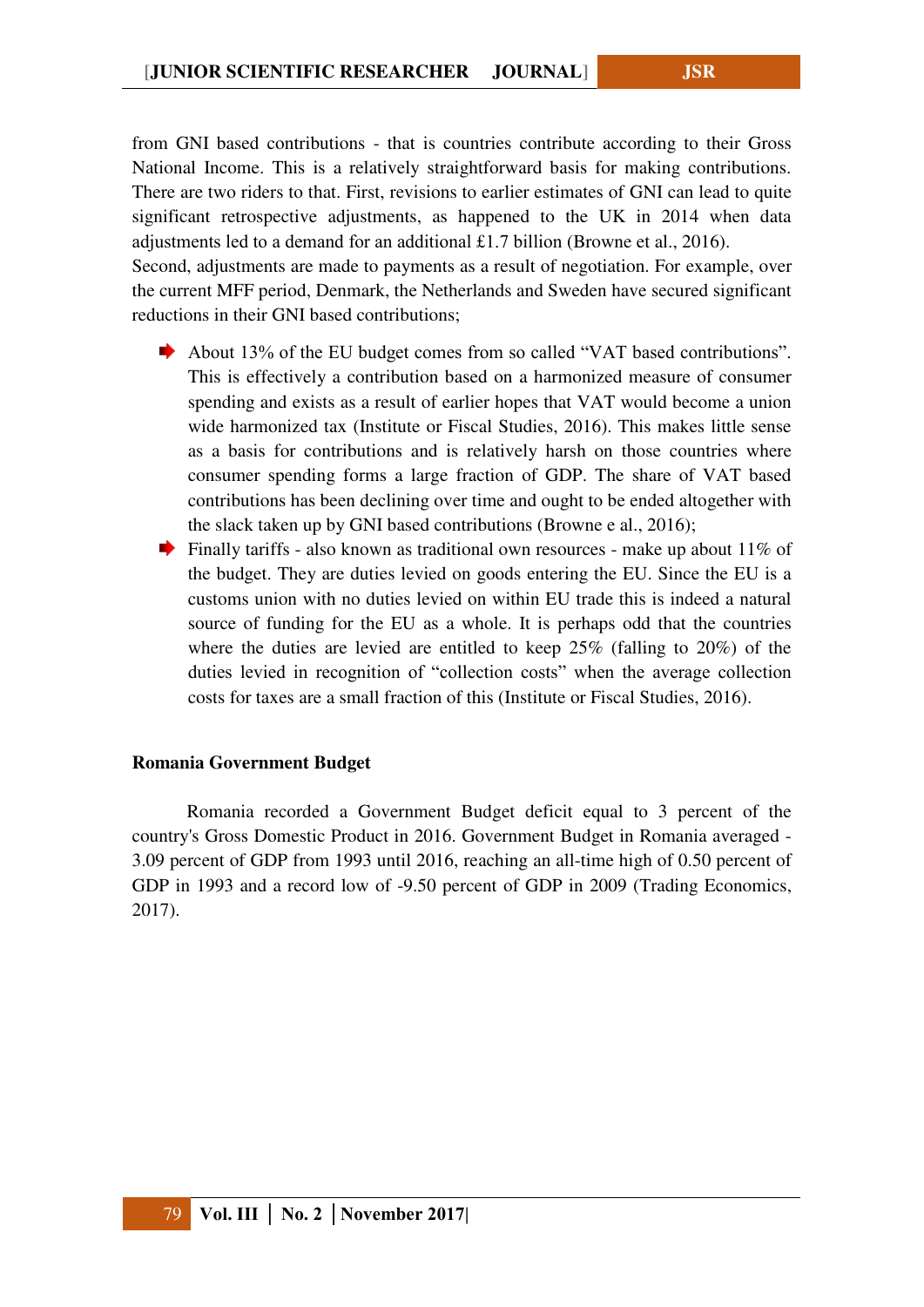from GNI based contributions - that is countries contribute according to their Gross National Income. This is a relatively straightforward basis for making contributions. There are two riders to that. First, revisions to earlier estimates of GNI can lead to quite significant retrospective adjustments, as happened to the UK in 2014 when data adjustments led to a demand for an additional £1.7 billion (Browne et al., 2016).

Second, adjustments are made to payments as a result of negotiation. For example, over the current MFF period, Denmark, the Netherlands and Sweden have secured significant reductions in their GNI based contributions;

- About 13% of the EU budget comes from so called "VAT based contributions". This is effectively a contribution based on a harmonized measure of consumer spending and exists as a result of earlier hopes that VAT would become a union wide harmonized tax (Institute or Fiscal Studies, 2016). This makes little sense as a basis for contributions and is relatively harsh on those countries where consumer spending forms a large fraction of GDP. The share of VAT based contributions has been declining over time and ought to be ended altogether with the slack taken up by GNI based contributions (Browne e al., 2016);
- Finally tariffs also known as traditional own resources make up about  $11\%$  of the budget. They are duties levied on goods entering the EU. Since the EU is a customs union with no duties levied on within EU trade this is indeed a natural source of funding for the EU as a whole. It is perhaps odd that the countries where the duties are levied are entitled to keep 25% (falling to 20%) of the duties levied in recognition of "collection costs" when the average collection costs for taxes are a small fraction of this (Institute or Fiscal Studies, 2016).

#### **Romania Government Budget**

Romania recorded a Government Budget deficit equal to 3 percent of the country's Gross Domestic Product in 2016. Government Budget in Romania averaged - 3.09 percent of GDP from 1993 until 2016, reaching an all-time high of 0.50 percent of GDP in 1993 and a record low of -9.50 percent of GDP in 2009 (Trading Economics, 2017).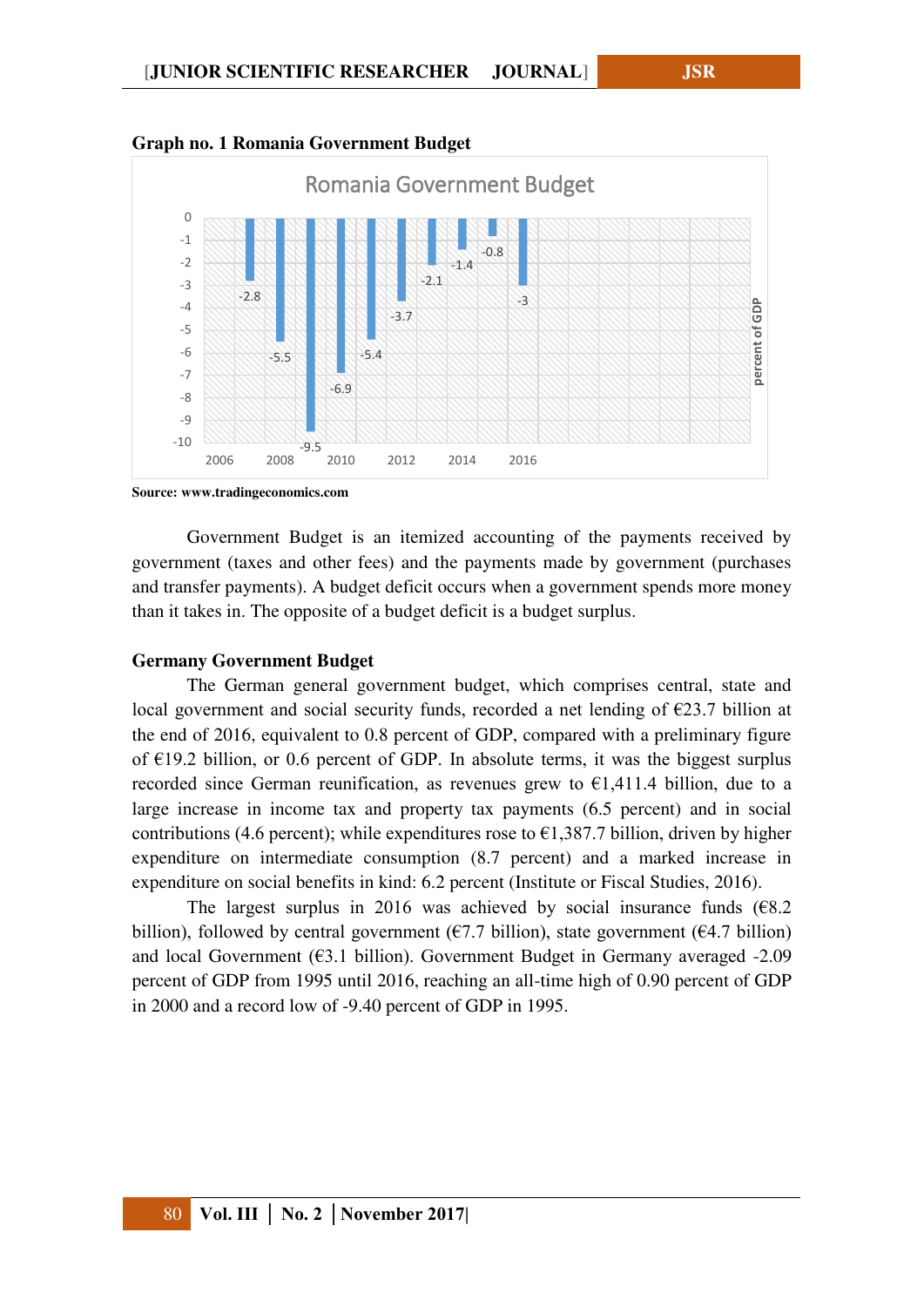

#### **Graph no. 1 Romania Government Budget**

**Source: www.tradingeconomics.com** 

Government Budget is an itemized accounting of the payments received by government (taxes and other fees) and the payments made by government (purchases and transfer payments). A budget deficit occurs when a government spends more money than it takes in. The opposite of a budget deficit is a budget surplus.

### **Germany Government Budget**

The German general government budget, which comprises central, state and local government and social security funds, recorded a net lending of  $\epsilon$ 23.7 billion at the end of 2016, equivalent to 0.8 percent of GDP, compared with a preliminary figure of  $E19.2$  billion, or 0.6 percent of GDP. In absolute terms, it was the biggest surplus recorded since German reunification, as revenues grew to  $\epsilon$ 1,411.4 billion, due to a large increase in income tax and property tax payments (6.5 percent) and in social contributions (4.6 percent); while expenditures rose to  $\epsilon$ 1,387.7 billion, driven by higher expenditure on intermediate consumption (8.7 percent) and a marked increase in expenditure on social benefits in kind: 6.2 percent (Institute or Fiscal Studies, 2016).

The largest surplus in 2016 was achieved by social insurance funds  $(68.2)$ billion), followed by central government ( $\epsilon$ 7.7 billion), state government ( $\epsilon$ 4.7 billion) and local Government ( $63.1$  billion). Government Budget in Germany averaged -2.09 percent of GDP from 1995 until 2016, reaching an all-time high of 0.90 percent of GDP in 2000 and a record low of -9.40 percent of GDP in 1995.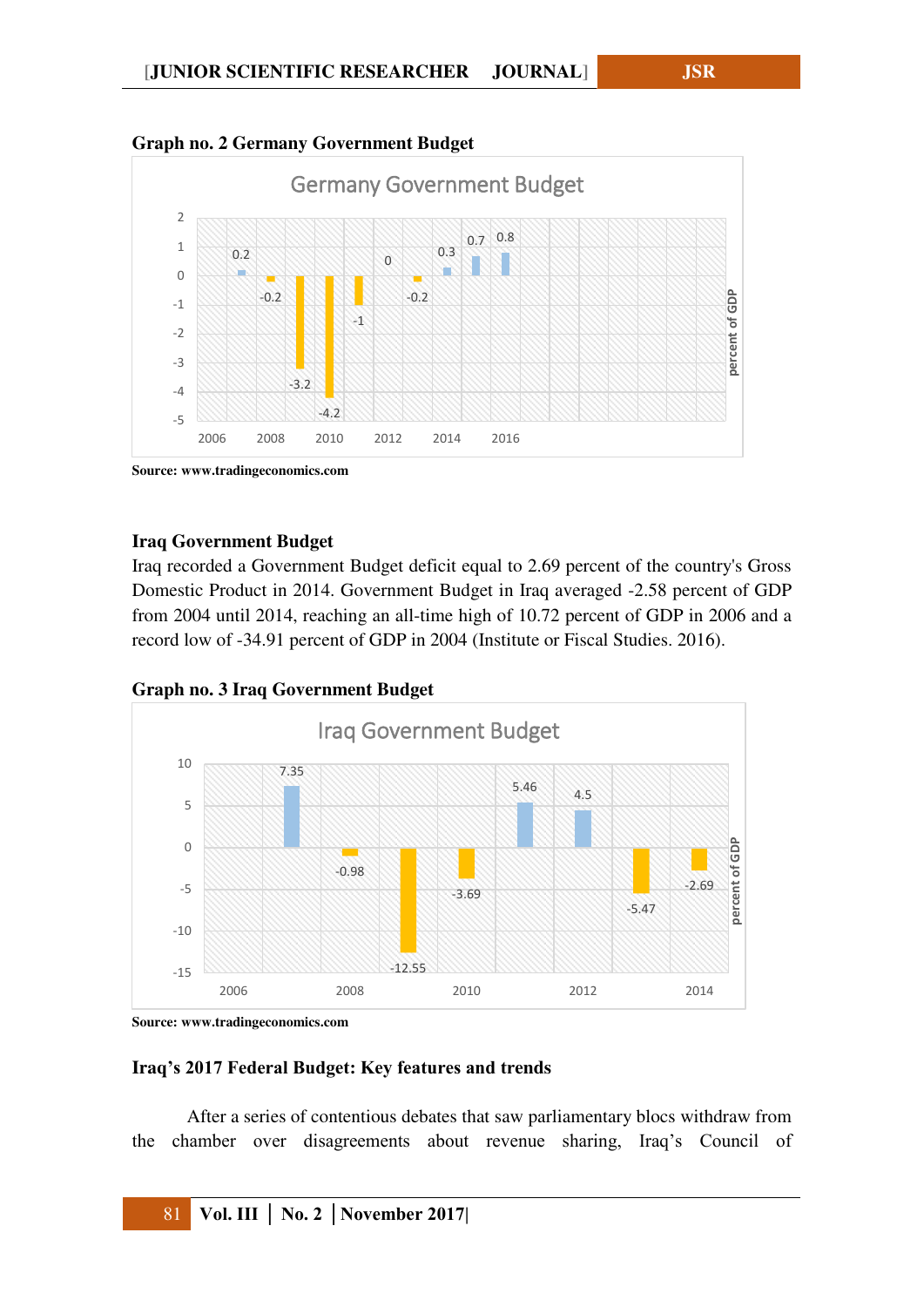



**Source: www.tradingeconomics.com** 

## **Iraq Government Budget**

Iraq recorded a Government Budget deficit equal to 2.69 percent of the country's Gross Domestic Product in 2014. Government Budget in Iraq averaged -2.58 percent of GDP from 2004 until 2014, reaching an all-time high of 10.72 percent of GDP in 2006 and a record low of -34.91 percent of GDP in 2004 (Institute or Fiscal Studies. 2016).

**Graph no. 3 Iraq Government Budget** 



**Source: www.tradingeconomics.com** 

### **Iraq's 2017 Federal Budget: Key features and trends**

After a series of contentious debates that saw parliamentary blocs withdraw from the chamber over disagreements about revenue sharing, Iraq's Council of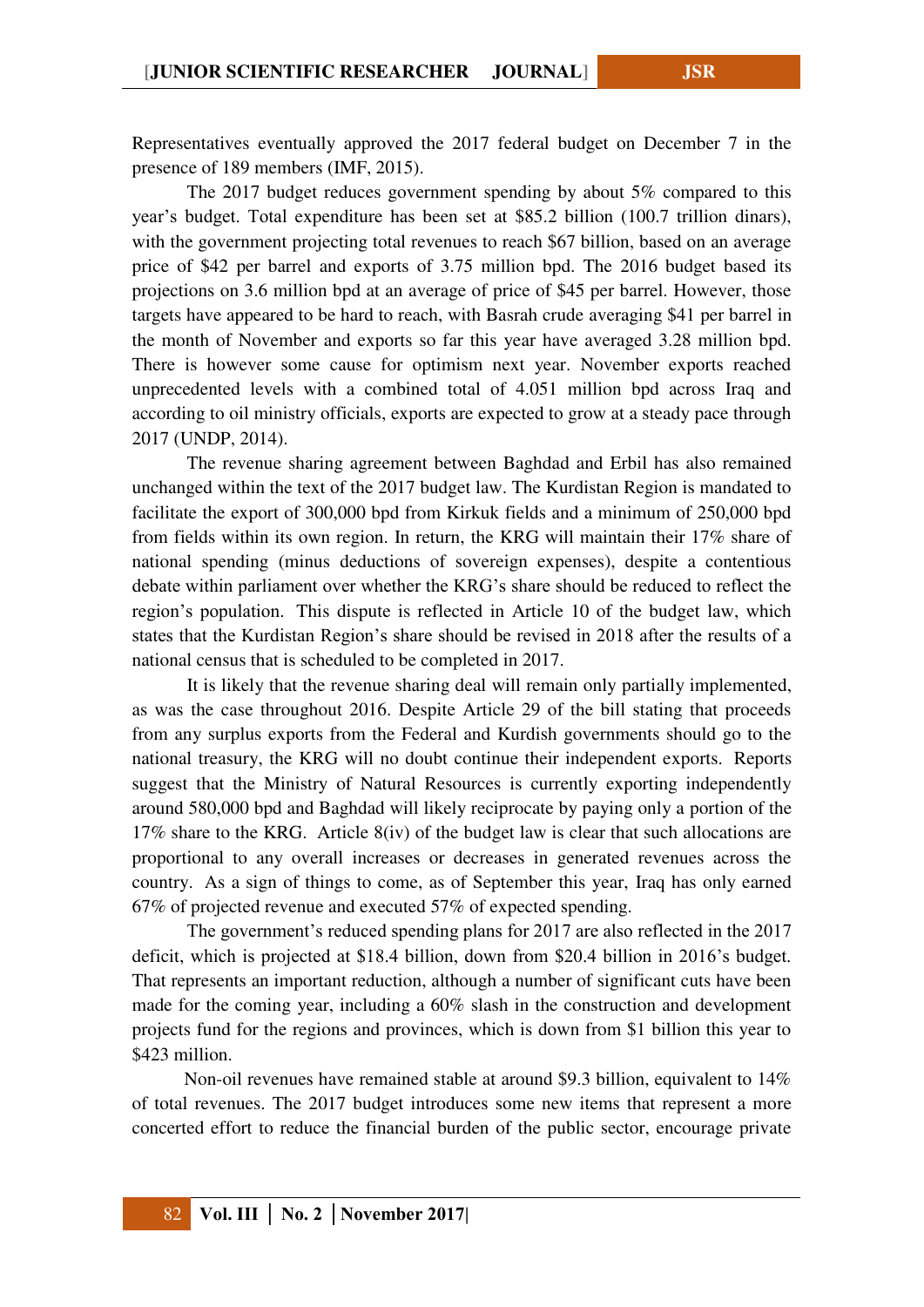Representatives eventually approved the [2017 federal budget](http://ar.parliament.iq/LiveWebsites/Arabic/Container.aspx?LawID=18941) on December 7 in the presence of 189 members (IMF, 2015).

The 2017 budget reduces government spending by about 5% compared to this year's budget. Total expenditure has been set at \$85.2 billion (100.7 trillion dinars), with the government projecting total revenues to reach \$67 billion, based on an average price of \$42 per barrel and exports of 3.75 million bpd. The [2016 budget](http://www.moj.gov.iq/uploaded/4394.pdf) based its projections on 3.6 million bpd at an average of price of \$45 per barrel. However, those targets have appeared to be hard to reach, with Basrah crude [averaging \\$41 per barrel](http://www.iraqoilreport.com/news/iraq-breaks-export-records-20517/) in the month of November and exports so far this year have averaged 3.28 million bpd. There is however some cause for optimism next year. November exports reached unprecedented levels with a combined total of 4.051 million bpd across Iraq and [according to oil ministry officials,](http://www.reuters.com/article/us-asia-oil-appec-iraq-idUSKCN11D11K) exports are expected to grow at a steady pace through 2017 (UNDP, 2014).

The revenue sharing agreement between Baghdad and Erbil has also remained unchanged within the text of the 2017 budget law. The Kurdistan Region is mandated to facilitate the export of 300,000 bpd from Kirkuk fields and a minimum of 250,000 bpd from fields within its own region. In return, the KRG will maintain their 17% share of national spending (minus deductions of sovereign expenses), despite a contentious debate within parliament over whether the KRG's share should be reduced to reflect the region's population. This dispute is reflected in Article 10 of the budget law, which states that the Kurdistan Region's share should be revised in 2018 after the results of a national census that is scheduled to be completed in 2017.

It is likely that the revenue sharing deal will remain only partially implemented, as was the case throughout 2016. Despite Article 29 of the bill stating that proceeds from any surplus exports from the Federal and Kurdish governments should go to the national treasury, the KRG will no doubt continue their independent exports. [Reports](http://www.iraqoilreport.com/news/iraq-breaks-export-records-20517/)  [suggest](http://www.iraqoilreport.com/news/iraq-breaks-export-records-20517/) that the Ministry of Natural Resources is currently exporting independently around 580,000 bpd and Baghdad will likely reciprocate by paying only a portion of the 17% share to the KRG. Article 8(iv) of the budget law is clear that such allocations are proportional to any overall increases or decreases in generated revenues across the country. As a sign of things to come, as of September this year, Iraq has only earned [67% of projected revenue and executed 57%](http://www.iraqoilreport.com/news/iraq-passes-2017-budget-20596/) of expected spending.

The government's reduced spending plans for 2017 are also reflected in the 2017 deficit, which is projected at \$18.4 billion, down from \$20.4 billion in 2016's budget. That represents an important reduction, although a number of significant cuts have been made for the coming year, including a 60% slash in the construction and development projects fund for the regions and provinces, which is down from \$1 billion this year to \$423 million.

Non-oil revenues have remained stable at around \$9.3 billion, equivalent to 14% of total revenues. The 2017 budget introduces some new items that represent a more concerted effort to reduce the financial burden of the public sector, encourage private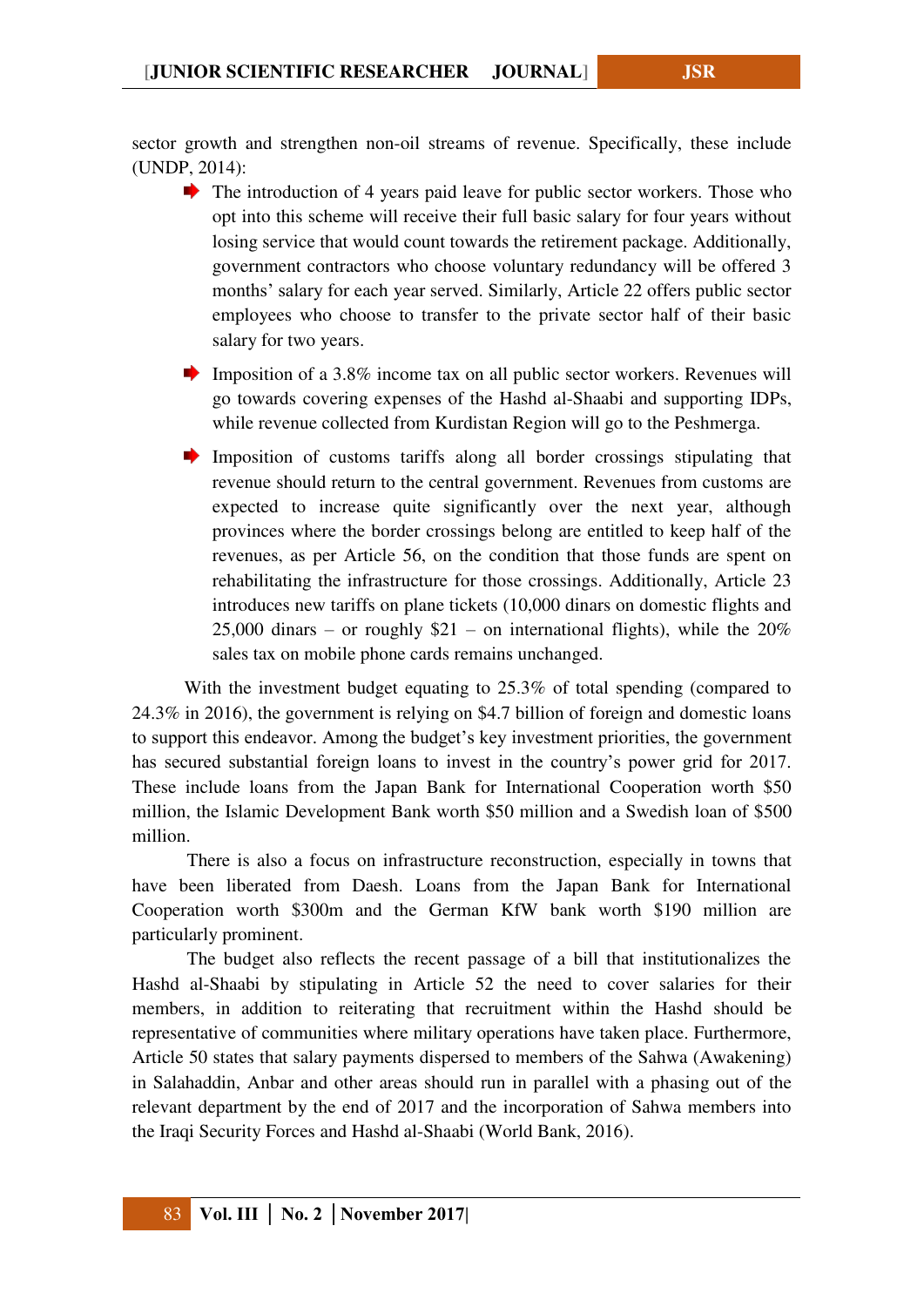sector growth and strengthen non-oil streams of revenue. Specifically, these include (UNDP, 2014):

- $\blacktriangleright$  The introduction of 4 years paid leave for public sector workers. Those who opt into this scheme will receive their full basic salary for four years without losing service that would count towards the retirement package. Additionally, government contractors who choose voluntary redundancy will be offered 3 months' salary for each year served. Similarly, Article 22 offers public sector employees who choose to transfer to the private sector half of their basic salary for two years.
- **Imposition of a 3.8% income tax on all public sector workers. Revenues will** go towards covering expenses of the Hashd al-Shaabi and supporting IDPs, while revenue collected from Kurdistan Region will go to the Peshmerga.
- Imposition of customs tariffs along all border crossings stipulating that revenue should return to the central government. Revenues from customs are expected to increase quite significantly over the next year, although provinces where the border crossings belong are entitled to keep half of the revenues, as per Article 56, on the condition that those funds are spent on rehabilitating the infrastructure for those crossings. Additionally, Article 23 introduces new tariffs on plane tickets (10,000 dinars on domestic flights and 25,000 dinars – or roughly  $$21$  – on international flights), while the  $20\%$ sales tax on mobile phone cards remains unchanged.

With the investment budget equating to 25.3% of total spending (compared to 24.3% in 2016), the government is relying on \$4.7 billion of foreign and domestic loans to support this endeavor. Among the budget's key investment priorities, the government has secured substantial foreign loans to invest in the country's power grid for 2017. These include loans from the Japan Bank for International Cooperation worth \$50 million, the Islamic Development Bank worth \$50 million and a Swedish loan of \$500 million.

There is also a focus on infrastructure reconstruction, especially in towns that have been liberated from Daesh. Loans from the Japan Bank for International Cooperation worth \$300m and the German KfW bank worth \$190 million are particularly prominent.

The budget also reflects the recent passage of a bill that institutionalizes the Hashd al-Shaabi by stipulating in Article 52 the need to cover salaries for their members, in addition to reiterating that recruitment within the Hashd should be representative of communities where military operations have taken place. Furthermore, Article 50 states that salary payments dispersed to members of the Sahwa (Awakening) in Salahaddin, Anbar and other areas should run in parallel with a phasing out of the relevant department by the end of 2017 and the incorporation of Sahwa members into the Iraqi Security Forces and Hashd al-Shaabi (World Bank, 2016).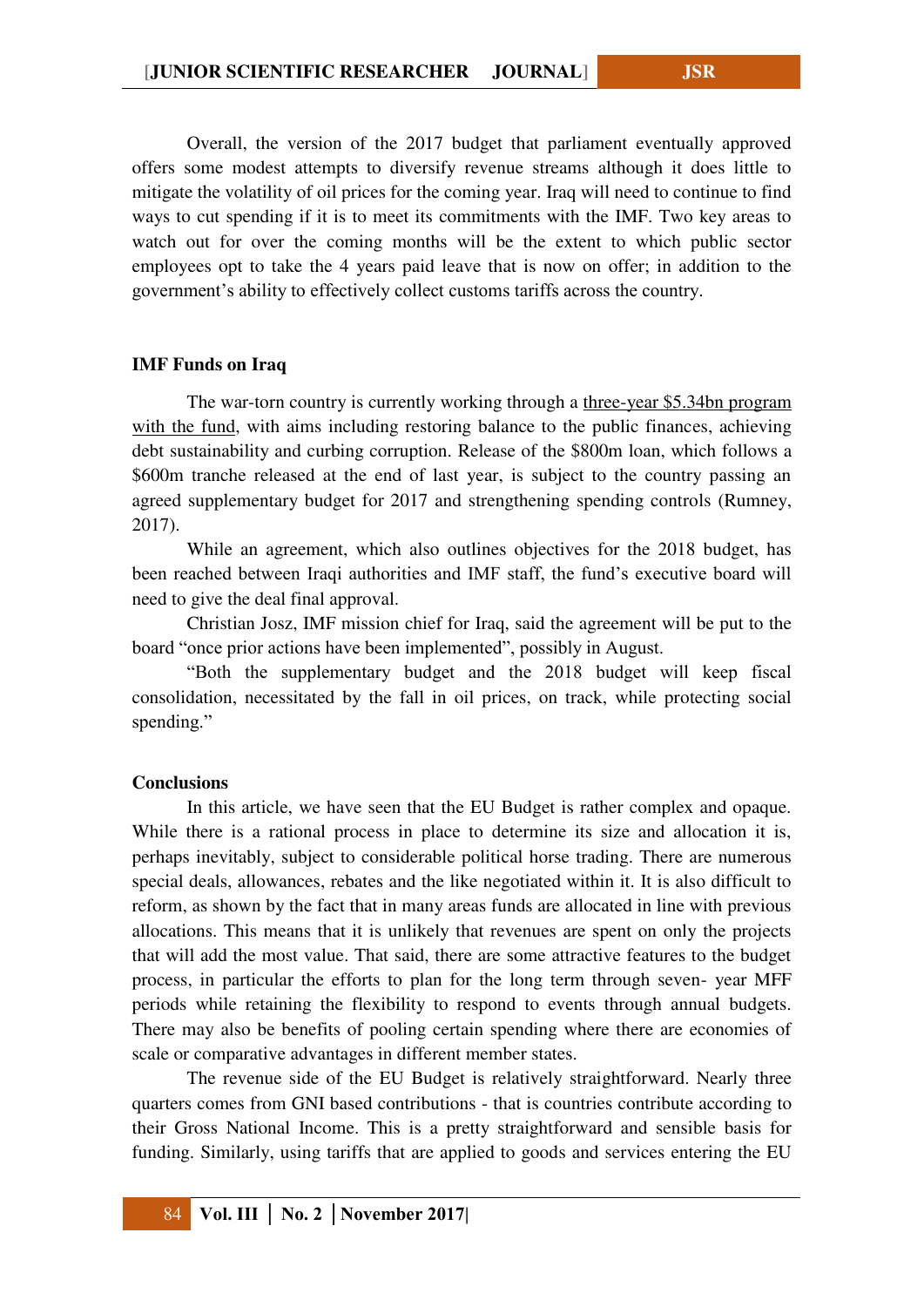Overall, the version of the 2017 budget that parliament eventually approved offers some modest attempts to diversify revenue streams although it does little to mitigate the volatility of oil prices for the coming year. Iraq will need to continue to find ways to cut spending if it is to meet its commitments with the IMF. Two key areas to watch out for over the coming months will be the extent to which public sector employees opt to take the 4 years paid leave that is now on offer; in addition to the government's ability to effectively collect customs tariffs across the country.

#### **IMF Funds on Iraq**

The war-torn country is currently working through a [three-year \\$5.34bn program](http://www.publicfinanceinternational.org/news/2016/05/imf-agrees-5bn-bailout-deal-iraq)  [with the fund,](http://www.publicfinanceinternational.org/news/2016/05/imf-agrees-5bn-bailout-deal-iraq) with aims including restoring balance to the public finances, achieving debt sustainability and curbing corruption. Release of the \$800m loan, which follows a \$600m tranche released at the end of last year, is subject to the country passing an agreed supplementary budget for 2017 and strengthening spending controls (Rumney, 2017).

While an agreement, which also outlines objectives for the 2018 budget, has been reached between Iraqi authorities and IMF staff, the fund's executive board will need to give the deal final approval.

Christian Josz, IMF mission chief for Iraq, said the agreement will be put to the board "once prior actions have been implemented", possibly in August.

"Both the supplementary budget and the 2018 budget will keep fiscal consolidation, necessitated by the fall in oil prices, on track, while protecting social spending."

#### **Conclusions**

In this article, we have seen that the EU Budget is rather complex and opaque. While there is a rational process in place to determine its size and allocation it is, perhaps inevitably, subject to considerable political horse trading. There are numerous special deals, allowances, rebates and the like negotiated within it. It is also difficult to reform, as shown by the fact that in many areas funds are allocated in line with previous allocations. This means that it is unlikely that revenues are spent on only the projects that will add the most value. That said, there are some attractive features to the budget process, in particular the efforts to plan for the long term through seven- year MFF periods while retaining the flexibility to respond to events through annual budgets. There may also be benefits of pooling certain spending where there are economies of scale or comparative advantages in different member states.

The revenue side of the EU Budget is relatively straightforward. Nearly three quarters comes from GNI based contributions - that is countries contribute according to their Gross National Income. This is a pretty straightforward and sensible basis for funding. Similarly, using tariffs that are applied to goods and services entering the EU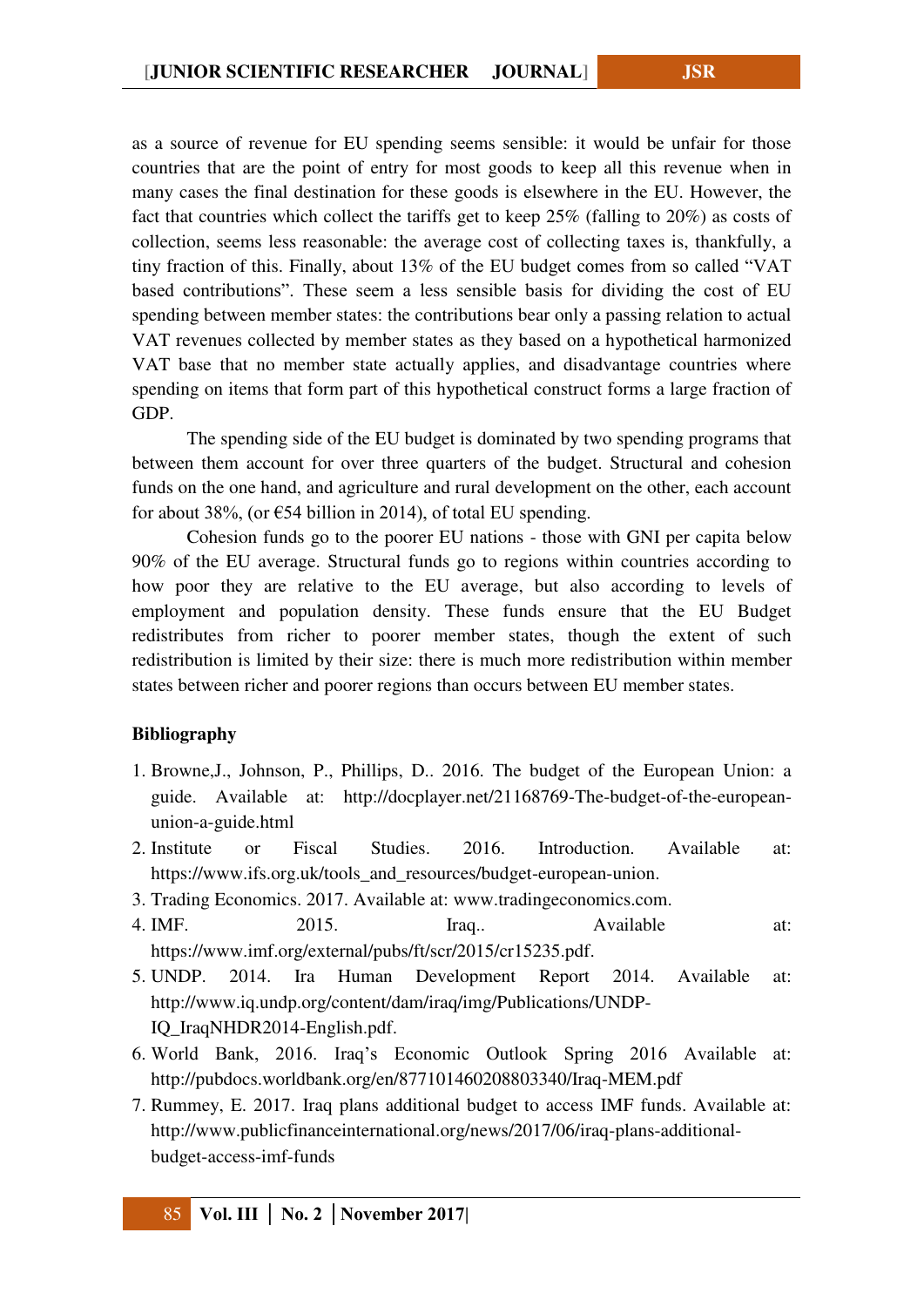as a source of revenue for EU spending seems sensible: it would be unfair for those countries that are the point of entry for most goods to keep all this revenue when in many cases the final destination for these goods is elsewhere in the EU. However, the fact that countries which collect the tariffs get to keep 25% (falling to 20%) as costs of collection, seems less reasonable: the average cost of collecting taxes is, thankfully, a tiny fraction of this. Finally, about 13% of the EU budget comes from so called "VAT based contributions". These seem a less sensible basis for dividing the cost of EU spending between member states: the contributions bear only a passing relation to actual VAT revenues collected by member states as they based on a hypothetical harmonized VAT base that no member state actually applies, and disadvantage countries where spending on items that form part of this hypothetical construct forms a large fraction of GDP.

The spending side of the EU budget is dominated by two spending programs that between them account for over three quarters of the budget. Structural and cohesion funds on the one hand, and agriculture and rural development on the other, each account for about 38%, (or  $\epsilon$ 54 billion in 2014), of total EU spending.

Cohesion funds go to the poorer EU nations - those with GNI per capita below 90% of the EU average. Structural funds go to regions within countries according to how poor they are relative to the EU average, but also according to levels of employment and population density. These funds ensure that the EU Budget redistributes from richer to poorer member states, though the extent of such redistribution is limited by their size: there is much more redistribution within member states between richer and poorer regions than occurs between EU member states.

# **Bibliography**

- 1. Browne,J., Johnson, P., Phillips, D.. 2016. The budget of the European Union: a guide. Available at: [http://docplayer.net/21168769-The-budget-of-the-european](http://docplayer.net/21168769-The-budget-of-the-european-union-a-guide.html)[union-a-guide.html](http://docplayer.net/21168769-The-budget-of-the-european-union-a-guide.html)
- 2. Institute or Fiscal Studies. 2016. Introduction. Available at: [https://www.ifs.org.uk/tools\\_and\\_resources/budget-european-union.](https://www.ifs.org.uk/tools_and_resources/budget-european-union)
- 3. Trading Economics. 2017. Available at: [www.tradingeconomics.com.](http://www.tradingeconomics.com/)
- 4. IMF. 2015. Iraq.. Available at: [https://www.imf.org/external/pubs/ft/scr/2015/cr15235.pdf.](https://www.imf.org/external/pubs/ft/scr/2015/cr15235.pdf)
- 5. UNDP. 2014. Ira Human Development Report 2014. Available at: [http://www.iq.undp.org/content/dam/iraq/img/Publications/UNDP-](http://www.iq.undp.org/content/dam/iraq/img/Publications/UNDP-IQ_IraqNHDR2014-English.pdf)[IQ\\_IraqNHDR2014-English.pdf.](http://www.iq.undp.org/content/dam/iraq/img/Publications/UNDP-IQ_IraqNHDR2014-English.pdf)
- 6. World Bank, 2016. Iraq's Economic Outlook Spring 2016 Available at: <http://pubdocs.worldbank.org/en/877101460208803340/Iraq-MEM.pdf>
- 7. Rummey, E. 2017. Iraq plans additional budget to access IMF funds. Available at: [http://www.publicfinanceinternational.org/news/2017/06/iraq-plans-additional](http://www.publicfinanceinternational.org/news/2017/06/iraq-plans-additional-budget-access-imf-funds)[budget-access-imf-funds](http://www.publicfinanceinternational.org/news/2017/06/iraq-plans-additional-budget-access-imf-funds)